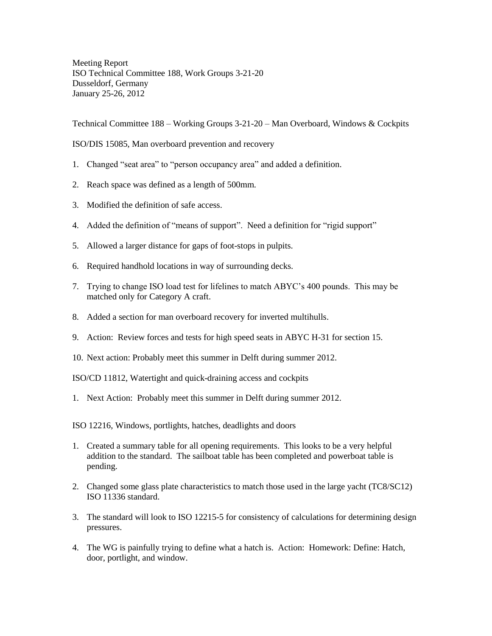Meeting Report ISO Technical Committee 188, Work Groups 3-21-20 Dusseldorf, Germany January 25-26, 2012

Technical Committee 188 – Working Groups 3-21-20 – Man Overboard, Windows & Cockpits

ISO/DIS 15085, Man overboard prevention and recovery

- 1. Changed "seat area" to "person occupancy area" and added a definition.
- 2. Reach space was defined as a length of 500mm.
- 3. Modified the definition of safe access.
- 4. Added the definition of "means of support". Need a definition for "rigid support"
- 5. Allowed a larger distance for gaps of foot-stops in pulpits.
- 6. Required handhold locations in way of surrounding decks.
- 7. Trying to change ISO load test for lifelines to match ABYC's 400 pounds. This may be matched only for Category A craft.
- 8. Added a section for man overboard recovery for inverted multihulls.
- 9. Action: Review forces and tests for high speed seats in ABYC H-31 for section 15.
- 10. Next action: Probably meet this summer in Delft during summer 2012.

ISO/CD 11812, Watertight and quick-draining access and cockpits

1. Next Action: Probably meet this summer in Delft during summer 2012.

ISO 12216, Windows, portlights, hatches, deadlights and doors

- 1. Created a summary table for all opening requirements. This looks to be a very helpful addition to the standard. The sailboat table has been completed and powerboat table is pending.
- 2. Changed some glass plate characteristics to match those used in the large yacht (TC8/SC12) ISO 11336 standard.
- 3. The standard will look to ISO 12215-5 for consistency of calculations for determining design pressures.
- 4. The WG is painfully trying to define what a hatch is. Action: Homework: Define: Hatch, door, portlight, and window.